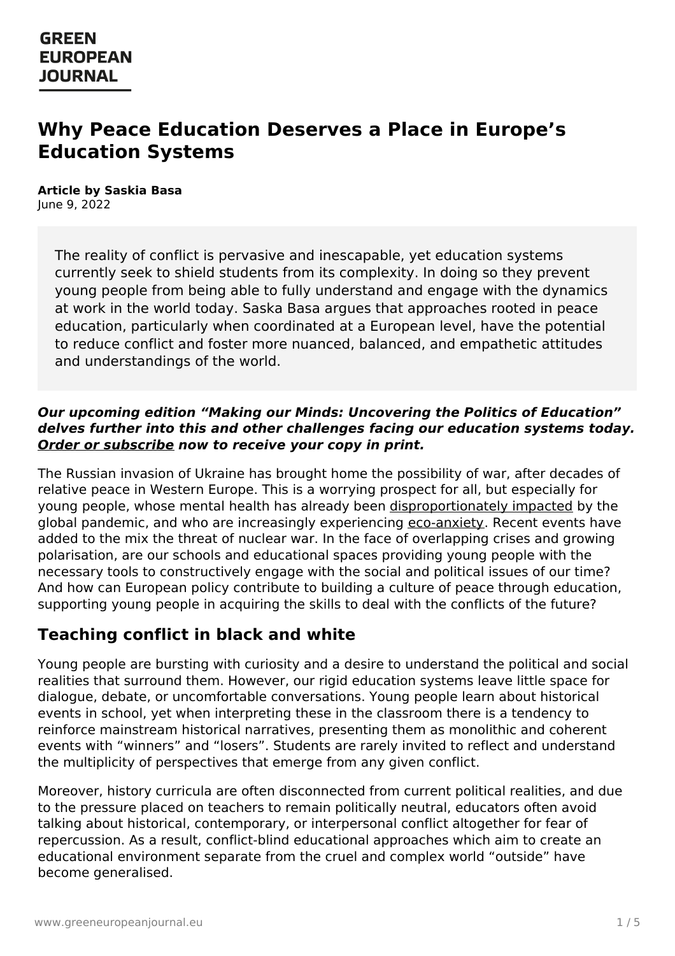# **Why Peace Education Deserves a Place in Europe's Education Systems**

**Article by Saskia Basa** June 9, 2022

> The reality of conflict is pervasive and inescapable, yet education systems currently seek to shield students from its complexity. In doing so they prevent young people from being able to fully understand and engage with the dynamics at work in the world today. Saska Basa argues that approaches rooted in peace education, particularly when coordinated at a European level, have the potential to reduce conflict and foster more nuanced, balanced, and empathetic attitudes and understandings of the world.

#### **Our upcoming edition "Making our Minds: Uncovering the Politics of Education" delves further into this and other challenges facing our education systems today. Order or [subscribe](https://www.greeneuropeanjournal.eu/subscribe-order/) now to receive your copy in print.**

The Russian invasion of Ukraine has brought home the possibility of war, after decades of relative peace in Western Europe. This is a worrying prospect for all, but especially for young people, whose mental health has already been [disproportionately](https://www.eurofound.europa.eu/publications/report/2021/impact-of-covid-19-on-young-people-in-the-eu) impacted by the global pandemic, and who are increasingly experiencing [eco-anxiety](https://www.theguardian.com/society/2021/oct/06/eco-anxiety-fear-of-environmental-doom-weighs-on-young-people). Recent events have added to the mix the threat of nuclear war. In the face of overlapping crises and growing polarisation, are our schools and educational spaces providing young people with the necessary tools to constructively engage with the social and political issues of our time? And how can European policy contribute to building a culture of peace through education, supporting young people in acquiring the skills to deal with the conflicts of the future?

### **Teaching conflict in black and white**

Young people are bursting with curiosity and a desire to understand the political and social realities that surround them. However, our rigid education systems leave little space for dialogue, debate, or uncomfortable conversations. Young people learn about historical events in school, yet when interpreting these in the classroom there is a tendency to reinforce mainstream historical narratives, presenting them as monolithic and coherent events with "winners" and "losers". Students are rarely invited to reflect and understand the multiplicity of perspectives that emerge from any given conflict.

Moreover, history curricula are often disconnected from current political realities, and due to the [pressure](https://www.greeneuropeanjournal.eu) placed on teachers to remain politically neutral, educators often avoid talking about historical, contemporary, or interpersonal conflict altogether for fear of repercussion. As a result, conflict-blind educational approaches which aim to create an educational environment separate from the cruel and complex world "outside" have become generalised.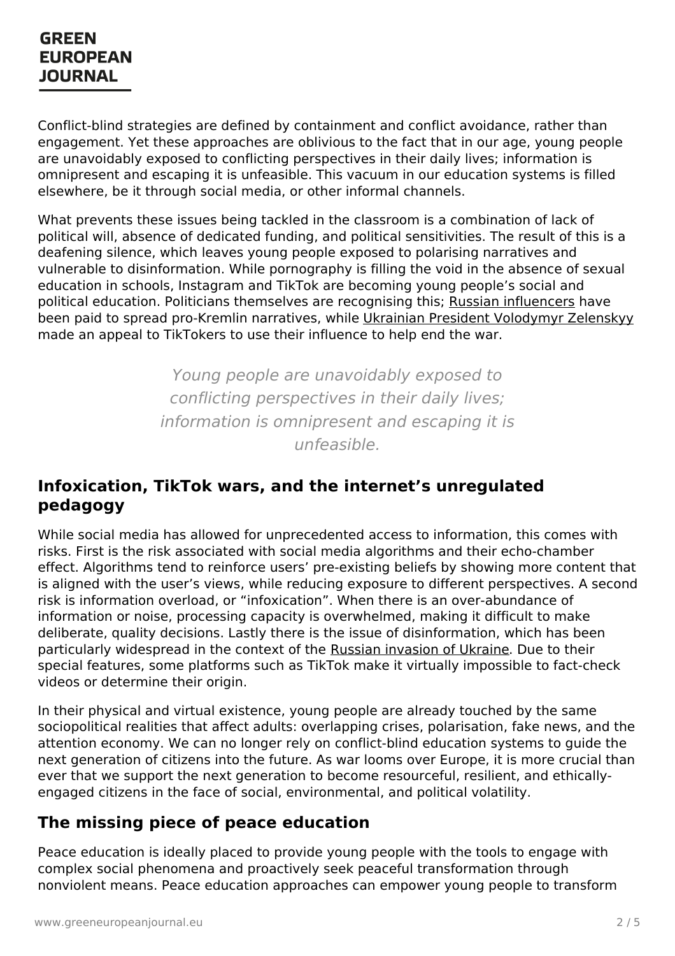Conflict-blind strategies are defined by containment and conflict avoidance, rather than engagement. Yet these approaches are oblivious to the fact that in our age, young people are unavoidably exposed to conflicting perspectives in their daily lives; information is omnipresent and escaping it is unfeasible. This vacuum in our education systems is filled elsewhere, be it through social media, or other informal channels.

What prevents these issues being tackled in the classroom is a combination of lack of political will, absence of dedicated funding, and political sensitivities. The result of this is a deafening silence, which leaves young people exposed to polarising narratives and vulnerable to disinformation. While pornography is filling the void in the absence of sexual education in schools, Instagram and TikTok are becoming young people's social and political education. Politicians themselves are recognising this; Russian [influencers](https://www.vice.com/en/article/epxken/russian-tiktok-influencers-paid-propaganda) have been paid to spread pro-Kremlin narratives, while Ukrainian President [Volodymyr](https://www.theguardian.com/technology/2022/mar/19/tiktok-ukraine-russia-war-disinformation) Zelenskyy made an appeal to TikTokers to use their influence to help end the war.

> Young people are unavoidably exposed to conflicting perspectives in their daily lives; information is omnipresent and escaping it is unfeasible.

#### **Infoxication, TikTok wars, and the internet's unregulated pedagogy**

While social media has allowed for unprecedented access to information, this comes with risks. First is the risk associated with social media algorithms and their echo-chamber effect. Algorithms tend to reinforce users' pre-existing beliefs by showing more content that is aligned with the user's views, while reducing exposure to different perspectives. A second risk is information overload, or "infoxication". When there is an over-abundance of information or noise, processing capacity is overwhelmed, making it difficult to make deliberate, quality decisions. Lastly there is the issue of disinformation, which has been particularly widespread in the context of the Russian [invasion](https://www.greeneuropeanjournal.eu/focus/russian-invasion-of-ukraine/) of Ukraine. Due to their special features, some platforms such as TikTok make it virtually impossible to fact-check videos or determine their origin.

In their physical and virtual existence, young people are already touched by the same sociopolitical realities that affect adults: overlapping crises, polarisation, fake news, and the attention economy. We can no longer rely on conflict-blind education systems to guide the next generation of citizens into the future. As war looms over Europe, it is more crucial than ever that we support the next generation to become resourceful, resilient, and ethically[engaged](https://www.greeneuropeanjournal.eu) citizens in the face of social, environmental, and political volatility.

### **The missing piece of peace education**

Peace education is ideally placed to provide young people with the tools to engage with complex social phenomena and proactively seek peaceful transformation through nonviolent means. Peace education approaches can empower young people to transform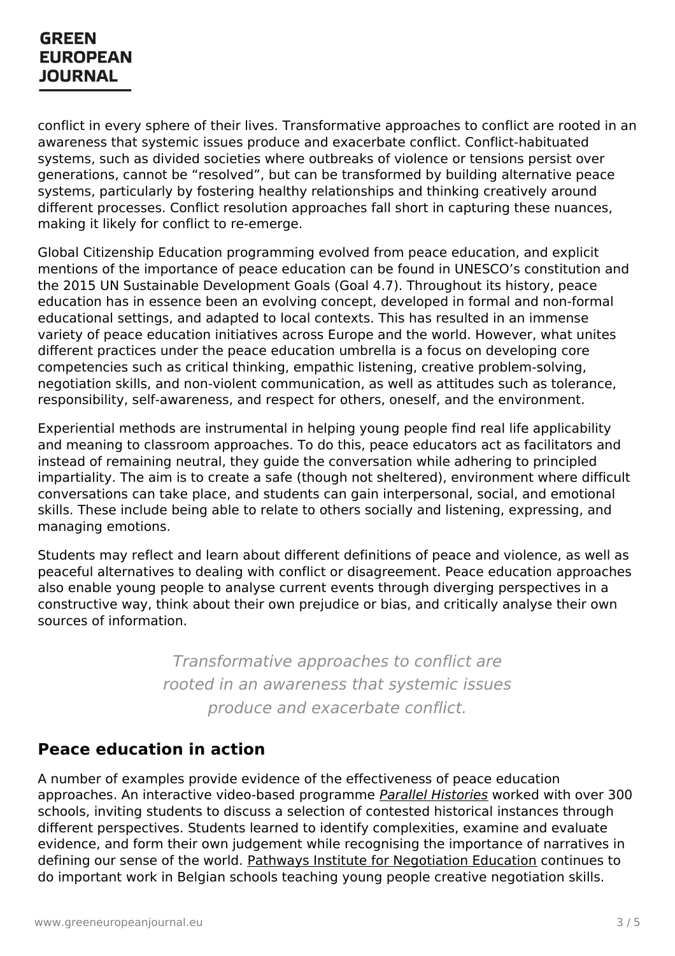conflict in every sphere of their lives. Transformative approaches to conflict are rooted in an awareness that systemic issues produce and exacerbate conflict. Conflict-habituated systems, such as divided societies where outbreaks of violence or tensions persist over generations, cannot be "resolved", but can be transformed by building alternative peace systems, particularly by fostering healthy relationships and thinking creatively around different processes. Conflict resolution approaches fall short in capturing these nuances, making it likely for conflict to re-emerge.

Global Citizenship Education programming evolved from peace education, and explicit mentions of the importance of peace education can be found in UNESCO's constitution and the 2015 UN Sustainable Development Goals (Goal 4.7). Throughout its history, peace education has in essence been an evolving concept, developed in formal and non-formal educational settings, and adapted to local contexts. This has resulted in an immense variety of peace education initiatives across Europe and the world. However, what unites different practices under the peace education umbrella is a focus on developing core competencies such as critical thinking, empathic listening, creative problem-solving, negotiation skills, and non-violent communication, as well as attitudes such as tolerance, responsibility, self-awareness, and respect for others, oneself, and the environment.

Experiential methods are instrumental in helping young people find real life applicability and meaning to classroom approaches. To do this, peace educators act as facilitators and instead of remaining neutral, they guide the conversation while adhering to principled impartiality. The aim is to create a safe (though not sheltered), environment where difficult conversations can take place, and students can gain interpersonal, social, and emotional skills. These include being able to relate to others socially and listening, expressing, and managing emotions.

Students may reflect and learn about different definitions of peace and violence, as well as peaceful alternatives to dealing with conflict or disagreement. Peace education approaches also enable young people to analyse current events through diverging perspectives in a constructive way, think about their own prejudice or bias, and critically analyse their own sources of information.

> Transformative approaches to conflict are rooted in an awareness that systemic issues produce and exacerbate conflict.

### **Peace education in action**

A number of examples provide evidence of the effectiveness of peace education [approaches.](https://www.greeneuropeanjournal.eu) An interactive video-based programme Parallel [Histories](https://www.parallelhistories.org.uk/) worked with over 300 schools, inviting students to discuss a selection of contested historical instances through different perspectives. Students learned to identify complexities, examine and evaluate evidence, and form their own judgement while recognising the importance of narratives in defining our sense of the world. Pathways Institute for [Negotiation](https://www.pathways.be/) Education continues to do important work in Belgian schools teaching young people creative negotiation skills.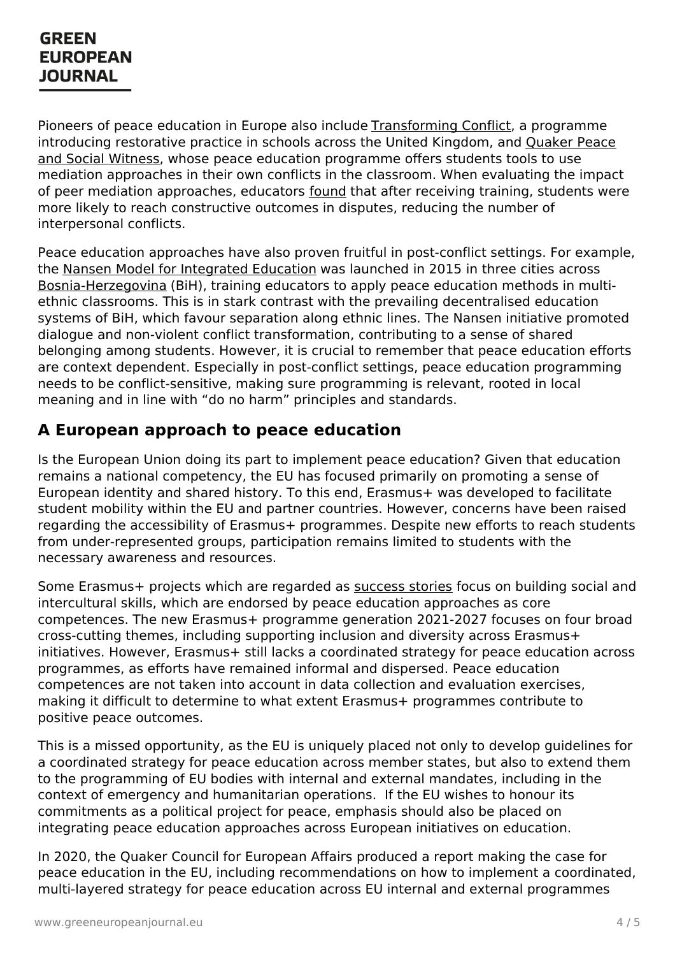Pioneers of peace education in Europe also include [Transforming](https://transformingconflict.org/) Conflict, a programme introducing restorative practice in schools across the United Kingdom, and Quaker Peace and Social Witness, whose peace education [programme](https://www.quaker.org.uk/our-work/peace/peace-education) offers students tools to use mediation approaches in their own conflicts in the classroom. When evaluating the impact of peer mediation approaches, educators [found](https://docs.google.com/viewer?a=v&pid=sites&srcid=ZGVmYXVsdGRvbWFpbnxwZWVybWVkaWF0aW9ubmV0d29ya3xneDoyMTJiOGU3MDFkZDU4ZTli) that after receiving training, students were more likely to reach constructive outcomes in disputes, reducing the number of interpersonal conflicts.

Peace education approaches have also proven fruitful in post-conflict settings. For example, the Nansen Model for [Integrated](https://ndcmostar.org/nansen-model-of-education-nme/) Education was launched in 2015 in three cities across [Bosnia-Herzegovina](https://www.greeneuropeanjournal.eu/the-unfinished-business-of-building-bosnia-herzegovina/) (BiH), training educators to apply peace education methods in multiethnic classrooms. This is in stark contrast with the prevailing decentralised education systems of BiH, which favour separation along ethnic lines. The Nansen initiative promoted dialogue and non-violent conflict transformation, contributing to a sense of shared belonging among students. However, it is crucial to remember that peace education efforts are context dependent. Especially in post-conflict settings, peace education programming needs to be conflict-sensitive, making sure programming is relevant, rooted in local meaning and in line with "do no harm" principles and standards.

### **A European approach to peace education**

Is the European Union doing its part to implement peace education? Given that education remains a national competency, the EU has focused primarily on promoting a sense of European identity and shared history. To this end, Erasmus+ was developed to facilitate student mobility within the EU and partner countries. However, concerns have been raised regarding the accessibility of Erasmus+ programmes. Despite new efforts to reach students from under-represented groups, participation remains limited to students with the necessary awareness and resources.

Some Erasmus+ projects which are regarded as [success](https://erasmus-plus.ec.europa.eu/projects#search/project/keyword=peace&options%5B0%5D=goodPracticesOnly&matchAllCountries=false) stories focus on building social and intercultural skills, which are endorsed by peace education approaches as core competences. The new Erasmus+ programme generation 2021-2027 focuses on four broad cross-cutting themes, including supporting inclusion and diversity across Erasmus+ initiatives. However, Erasmus+ still lacks a coordinated strategy for peace education across programmes, as efforts have remained informal and dispersed. Peace education competences are not taken into account in data collection and evaluation exercises, making it difficult to determine to what extent Erasmus+ programmes contribute to positive peace outcomes.

This is a missed opportunity, as the EU is uniquely placed not only to develop guidelines for a coordinated strategy for peace education across member states, but also to extend them to the programming of EU bodies with internal and external mandates, including in the context of [emergency](https://www.greeneuropeanjournal.eu) and humanitarian operations. If the EU wishes to honour its commitments as a political project for peace, emphasis should also be placed on integrating peace education approaches across European initiatives on education.

In 2020, the Quaker Council for European Affairs produced a report making the case for peace education in the EU, including recommendations on how to implement a coordinated, multi-layered strategy for peace education across EU internal and external programmes